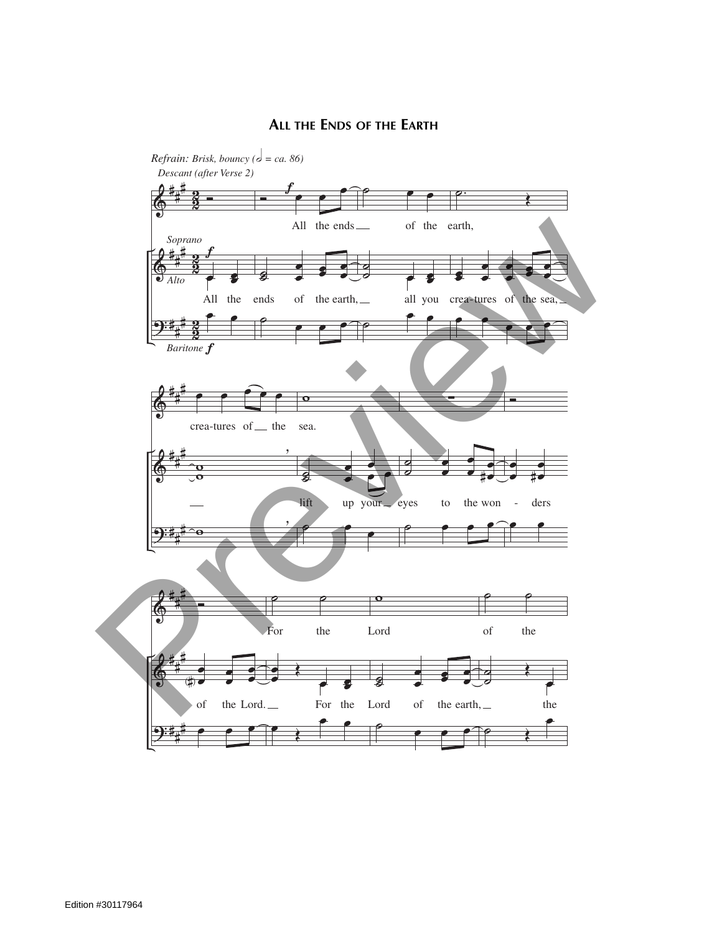## **ALL THE ENDS OF THE EARTH** *= ca. 86)*

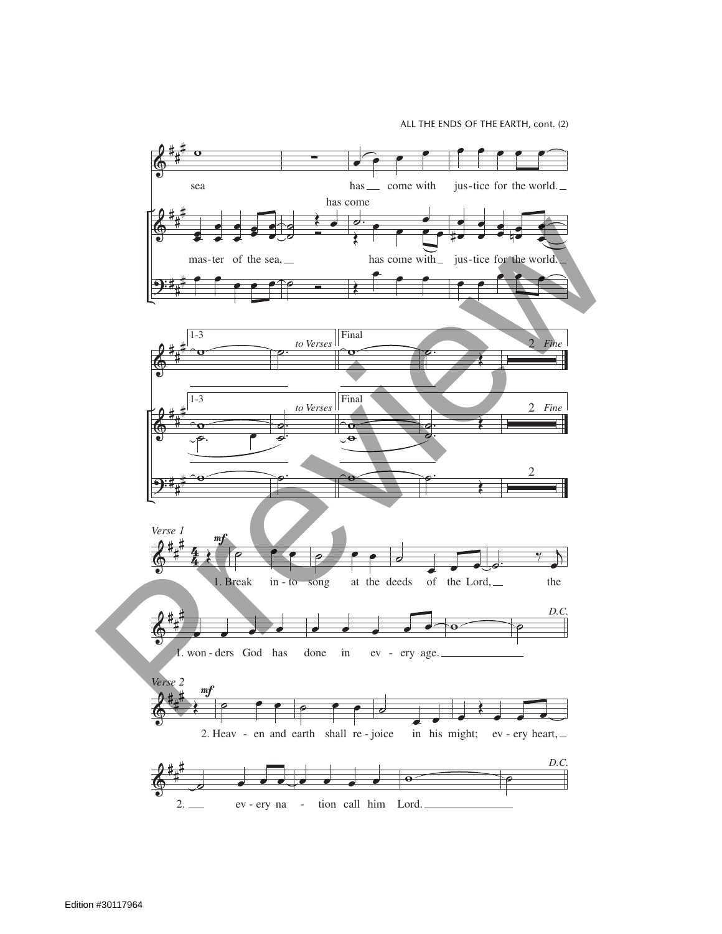ALL THE ENDS OF THE EARTH, cont. (2)